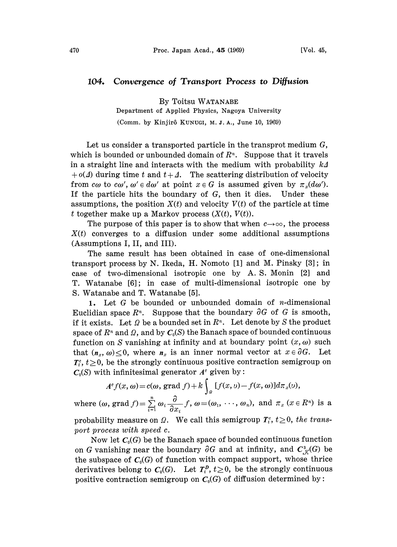## 104. Convergence of Transport Process to Diffusion

By Toitsu WATANABE

Department of Applied Physics, Nagoya University

(Comm. by Kinjirô KUNUGI, M. J. A., June 10, 1969)

Let us consider a transported particle in the transprot medium G, which is bounded or unbounded domain of  $R<sup>n</sup>$ . Suppose that it travels in a straight line and interacts with the medium with probability  $k\Delta$  $+ o(\Delta)$  during time t and  $t + \Delta$ . The scattering distribution of velocity from  $c\omega$  to  $c\omega'$ ,  $\omega' \in d\omega'$  at point  $x \in G$  is assumed given by  $\pi_x(d\omega')$ . If the particle hits the boundary of G, then it dies. Under these assumptions, the position  $X(t)$  and velocity  $V(t)$  of the particle at time t together make up a Markov process  $(X(t), V(t))$ .

The purpose of this paper is to show that when  $c\rightarrow\infty$ , the process  $X(t)$  converges to a diffusion under some additional assumptions (Assumptions I, II, and III).

The same result has been obtained in case of one-dimensional transport process by N. Ikeda, H. Nomoto [1] and M. Pinsky [3]; in case of two-dimensional isotropic one by A. S. Monin [2] and T. Watanabe [6]; in case of multi-dimensional isotropic one by S. Watanabe and T. Watanabe [5].

1. Let  $G$  be bounded or unbounded domain of *n*-dimensional Euclidian space  $R^n$ . Suppose that the boundary  $\partial G$  of G is smooth, if it exists. Let  $\Omega$  be a bounded set in  $R<sup>n</sup>$ . Let denote by S the product space of  $R^n$  and  $\Omega$ , and by  $C_0(S)$  the Banach space of bounded continuous function on S vanishing at infinity and at boundary point  $(x, \omega)$  such that  $(n_x, \omega) \leq 0$ , where  $n_x$  is an inner normal vector at  $x \in \partial G$ . Let  $T_t^c$ ,  $t \geq 0$ , be the strongly continuous positive contraction semigroup on  $C_0(S)$  with infinitesimal generator  $A^c$  given by:

$$
A^c f(x, \omega) = c(\omega, \text{ grad } f) + k \int_a [f(x, \omega) - f(x, \omega)] d\pi_x(\omega),
$$

where  $(\omega, \text{grad } f) = \sum_{i=1}^{n} \omega_i \frac{\partial}{\partial x_i} f$ ,  $\omega = (\omega_1, \dots, \omega_n)$ , and  $\pi_x$   $(x \in R^n)$  is a probability measure on  $\Omega$ . We call this semigroup  $T_t^c$ ,  $t\geq 0$ , the transport process with speed c.

Now let  $C_0(G)$  be the Banach space of bounded continuous function on G vanishing near the boundary  $\partial G$  and at infinity, and  $C^3_{\mathcal{K}}(G)$  be the subspace of  $C_0(G)$  of function with compact support, whose thrice derivatives belong to  $C_0(G)$ . Let  $T_t^p$ ,  $t\geq 0$ , be the strongly continuous positive contraction semigroup on  $C_0(G)$  of diffusion determined by: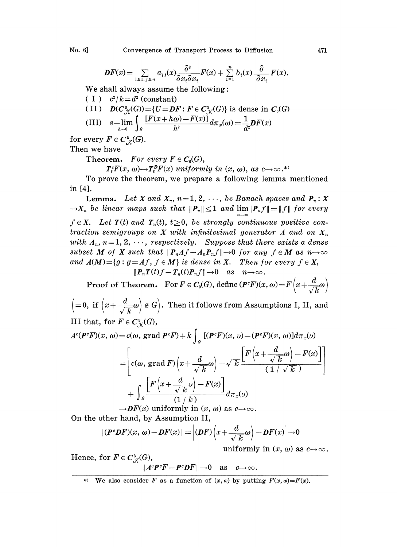No. 6] Convergence of Transport Process to Diffusion 471

$$
\boldsymbol{DF}(x) = \sum_{1 \leq i,j \leq n} a_{ij}(x) \frac{\partial^2}{\partial x_i \partial x_j} \boldsymbol{F}(x) + \sum_{i=1}^n b_i(x) \frac{\partial}{\partial x_i} \boldsymbol{F}(x).
$$

We shall always assume the following:

 $(1)$   $c^2/k = d^2$  (constant)

(II) 
$$
D(C_{\mathcal{K}}^3(G)) = \{U = DF : F \in C_{\mathcal{K}}^3(G)\} \text{ is dense in } C_0(G)
$$
  
(III) 
$$
s - \lim_{h \to 0} \int_a \frac{[F(x + h\omega) - F(x)]}{h^2} d\pi_x(\omega) = \frac{1}{d^2} DF(x)
$$

for every  $F \in C^3_{\mathcal{K}}(G)$ .

Then we have

Theorem. For every  $F \in C_0(G)$ ,

 $T_t^c F(x, \omega) \rightarrow T_t^D F(x)$  uniformly in  $(x, \omega)$ , as  $c \rightarrow \infty$ .\*

To prove the theorem, we prepare a following lemma mentioned in [4].

**Lemma.** Let X and  $X_n$ ,  $n=1, 2, \dots$ , be Banach spaces and  $P_n: X$  $\rightarrow X_n$  be linear maps such that  $||P_n|| \leq 1$  and  $\lim ||P_n f|| = ||f||$  for every  $f \in X$ . Let  $T(t)$  and  $T_n(t)$ ,  $t \geq 0$ , be strongly continuous positive contraction semigroups on X with infinitesimal generator A and on  $X_n$ with  $A_n$ ,  $n=1, 2, \cdots$ , respectively. Suppose that there exists a dense subset M of X such that  $\|\mathbf{P}_n A f - A_n \mathbf{P}_n f\| \to 0$  for any  $f \in M$  as  $n \to \infty$ and  $A(M) = \{g : g = Af, f \in M\}$  is dense in X. Then for every  $f \in X$ ,  $||P_nT(t)f-T_n(t)P_nf||\rightarrow 0$  as  $n\rightarrow\infty$ .

**Proof of Theorem.** For  $F \in C_0(G)$ , define  $(P^c F)(x, \omega) = F\left(x + \frac{d}{\sqrt{L}}\omega\right)$ 

 $\left(=0, \text{ if }\left(x+\frac{d}{\sqrt{k}}\omega\right)\notin G\right)$ . Then it follows from Assumptions I, II, and III that, for  $F \in C^3_{\mathcal{K}}(G)$ ,

$$
A^{c}(\boldsymbol{P}^{c}\boldsymbol{F})(x,\,\omega) = c(\omega,\,\text{grad}\,\boldsymbol{P}^{c}\boldsymbol{F}) + k \int_{a} \left[ (\boldsymbol{P}^{c}\boldsymbol{F})(x,\,\omega) - (\boldsymbol{P}^{c}\boldsymbol{F})(x,\,\omega) \right] d\pi_{x}(\omega)
$$
  
\n
$$
= \left[ c(\omega,\,\text{grad}\,\boldsymbol{F}) \left( x + \frac{d}{\sqrt{k}} \omega \right) - \sqrt{k} \frac{\left[ \boldsymbol{F} \left( x + \frac{d}{\sqrt{k}} \omega \right) - \boldsymbol{F}(x) \right] + \int_{a} \frac{\left[ \boldsymbol{F} \left( x + \frac{d}{\sqrt{k}} \omega \right) - \boldsymbol{F}(x) \right]}{(1/k)} d\pi_{x}(\omega)
$$
  
\n
$$
\rightarrow \boldsymbol{D}\boldsymbol{F}(x) \text{ uniformly in } (x,\,\omega) \text{ as } c \rightarrow \infty.
$$

On the other hand, by Assumption II,

$$
|\left(\boldsymbol{P}^{\circ}\boldsymbol{D}F\right)(x,\,\omega)-\boldsymbol{D}F(x)|=\left|\left(\boldsymbol{D}F\right)\left(x+\frac{d}{\sqrt{k}}\omega\right)-\boldsymbol{D}F(x)\right|\rightarrow 0
$$

uniformly in  $(x, \omega)$  as  $c \rightarrow \infty$ .

Hence, for  $F \in C^3_{K}(G)$ ,  $||A^cP^cF - P^cDF|| \rightarrow 0$  as  $c \rightarrow \infty$ .

<sup>\*)</sup> We also consider F as a function of  $(x, \omega)$  by putting  $F(x, \omega) = F(x)$ .